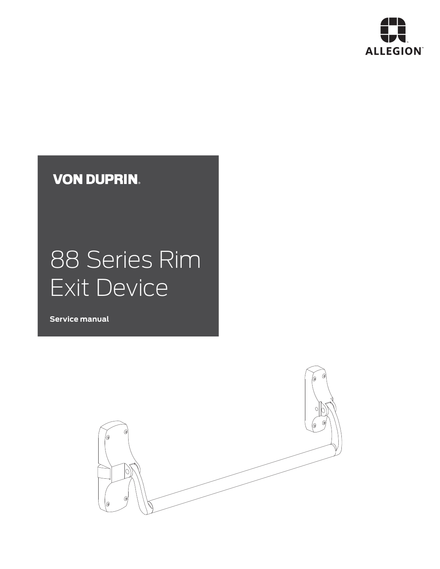

# **VON DUPRIN.**

# 88 Series Rim Exit Device

**Service manual**

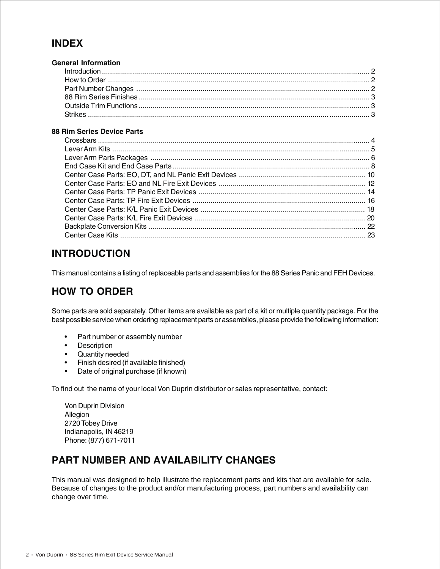#### **INDEX**

| <b>General Information</b> |  |
|----------------------------|--|
|                            |  |
|                            |  |
|                            |  |
|                            |  |
|                            |  |
|                            |  |

#### **88 Rim Series Device Parts**

#### **INTRODUCTION**

This manual contains a listing of replaceable parts and assemblies for the 88 Series Panic and FEH Devices.

### **HOW TO ORDER**

Some parts are sold separately. Other items are available as part of a kit or multiple quantity package. For the best possible service when ordering replacement parts or assemblies, please provide the following information:

- Part number or assembly number
- Description
- Quantity needed
- Finish desired (if available finished)
- Date of original purchase (if known)

To find out the name of your local Von Duprin distributor or sales representative, contact:

Von Duprin Division Allegion 2720 Tobey Drive Indianapolis, IN 46219 Phone: (877) 671-7011

#### **PART NUMBER AND AVAILABILITY CHANGES**

This manual was designed to help illustrate the replacement parts and kits that are available for sale. Because of changes to the product and/or manufacturing process, part numbers and availability can change over time.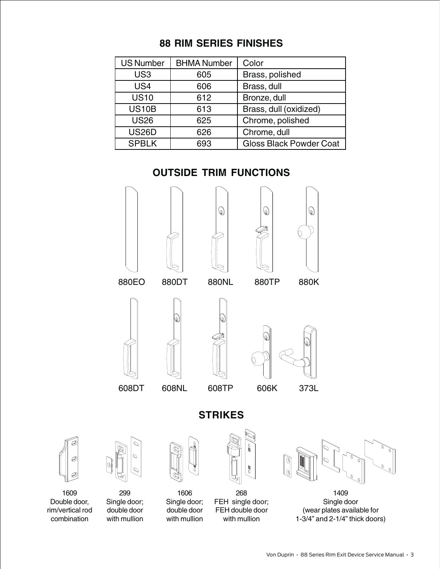### **88 RIM SERIES FINISHES**

| <b>US Number</b> | <b>BHMA Number</b> | Color                          |
|------------------|--------------------|--------------------------------|
| US <sub>3</sub>  | 605                | Brass, polished                |
| US <sub>4</sub>  | 606                | Brass, dull                    |
| <b>US10</b>      | 612                | Bronze, dull                   |
| <b>US10B</b>     | 613                | Brass, dull (oxidized)         |
| <b>US26</b>      | 625                | Chrome, polished               |
| <b>US26D</b>     | 626                | Chrome, dull                   |
| <b>SPBLK</b>     | 693                | <b>Gloss Black Powder Coat</b> |

### **OUTSIDE TRIM FUNCTIONS**

6







6)















1609 Double door, rim/vertical rod combination

299 Single door; double door with mullion



1606 Single door; double door with mullion



**STRIKES**

268 FEH single door; FEH double door with mullion



1409 Single door (wear plates available for 1-3/4" and 2-1/4" thick doors)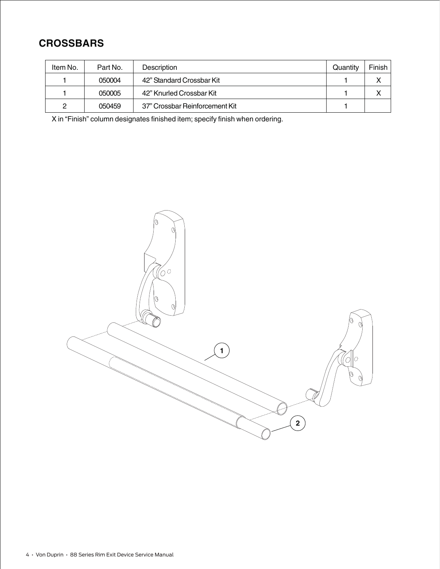### **CROSSBARS**

| Item No. | Part No. | <b>Description</b>             | Quantity | Finish |
|----------|----------|--------------------------------|----------|--------|
|          | 050004   | 42" Standard Crossbar Kit      |          |        |
|          | 050005   | 42" Knurled Crossbar Kit       |          |        |
| っ        | 050459   | 37" Crossbar Reinforcement Kit |          |        |

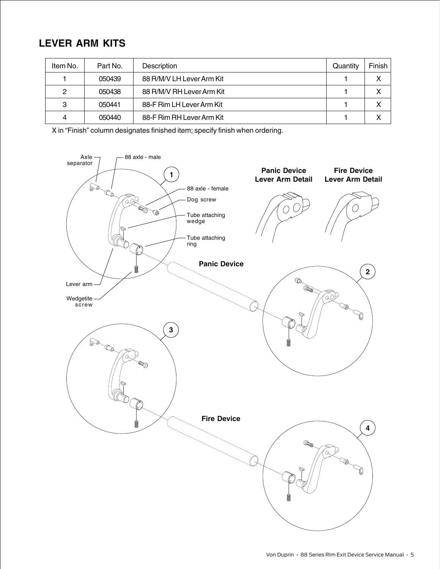### **LEVER ARM KITS**

| Item No. | Part No. | Description               | Quantity | Finish       |
|----------|----------|---------------------------|----------|--------------|
|          | 050439   | 88 R/M/V LH Lever Arm Kit |          | x            |
| 2        | 050438   | 88 R/M/V RH Lever Arm Kit |          | X            |
| 3        | 050441   | 88-F Rim LH Lever Arm Kit |          | X            |
| 4        | 050440   | 88-F Rim RH Lever Arm Kit |          | $\checkmark$ |

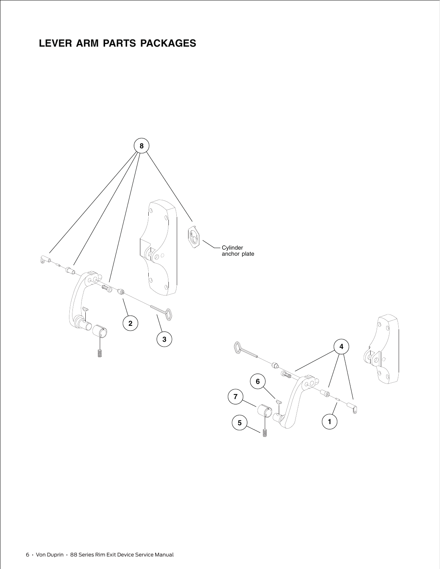### **LEVER ARM PARTS PACKAGES**

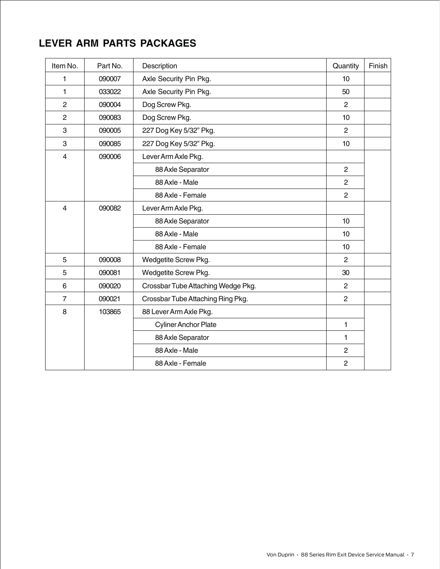### **LEVER ARM PARTS PACKAGES**

| Item No.       | Part No. | Description                        | Quantity       | Finish |
|----------------|----------|------------------------------------|----------------|--------|
| 1              | 090007   | Axle Security Pin Pkg.             | 10             |        |
| 1              | 033022   | Axle Security Pin Pkg.             | 50             |        |
| $\overline{c}$ | 090004   | Dog Screw Pkg.                     | 2              |        |
| $\overline{2}$ | 090083   | Dog Screw Pkg.                     | 10             |        |
| 3              | 090005   | 227 Dog Key 5/32" Pkg.             | 2              |        |
| 3              | 090085   | 227 Dog Key 5/32" Pkg.             | 10             |        |
| 4              | 090006   | Lever Arm Axle Pkg.                |                |        |
|                |          | 88 Axle Separator                  | $\overline{2}$ |        |
|                |          | 88 Axle - Male                     | $\overline{2}$ |        |
|                |          | 88 Axle - Female                   | $\overline{2}$ |        |
| $\overline{4}$ | 090082   | Lever Arm Axle Pkg.                |                |        |
|                |          | 88 Axle Separator                  | 10             |        |
|                |          | 88 Axle - Male                     | 10             |        |
|                |          | 88 Axle - Female                   | 10             |        |
| 5              | 090008   | Wedgetite Screw Pkg.               | $\overline{2}$ |        |
| 5              | 090081   | Wedgetite Screw Pkg.               | 30             |        |
| 6              | 090020   | Crossbar Tube Attaching Wedge Pkg. | $\overline{2}$ |        |
| $\overline{7}$ | 090021   | Crossbar Tube Attaching Ring Pkg.  | $\overline{2}$ |        |
| 8              | 103865   | 88 Lever Arm Axle Pkg.             |                |        |
|                |          | <b>Cyliner Anchor Plate</b>        | 1              |        |
|                |          | 88 Axle Separator                  | 1              |        |
|                |          | 88 Axle - Male                     | $\overline{2}$ |        |
|                |          | 88 Axle - Female                   | $\overline{2}$ |        |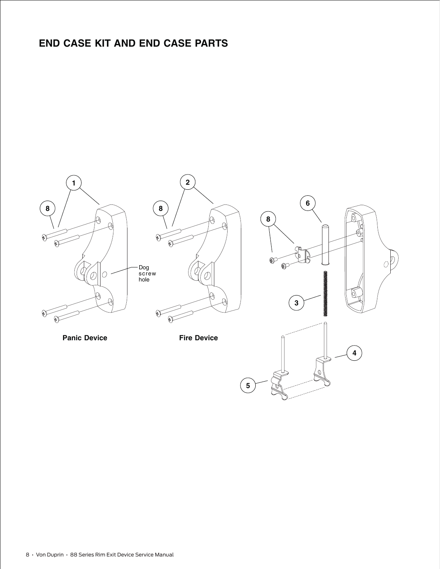### **END CASE KIT AND END CASE PARTS**

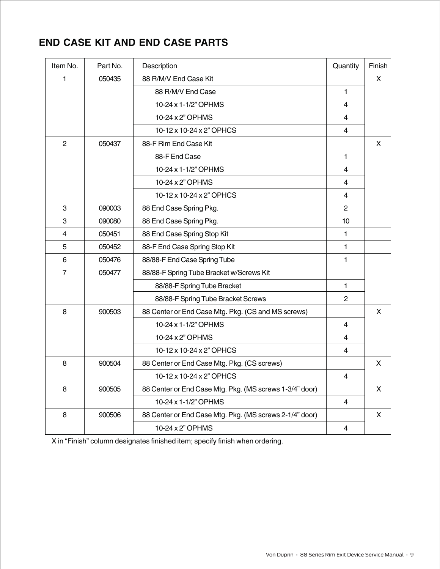### **END CASE KIT AND END CASE PARTS**

| Item No.       | Part No. | Description                                             | Quantity       | Finish |
|----------------|----------|---------------------------------------------------------|----------------|--------|
| 1              | 050435   | 88 R/M/V End Case Kit                                   |                | X.     |
|                |          | 88 R/M/V End Case                                       | $\mathbf{1}$   |        |
|                |          | 10-24 x 1-1/2" OPHMS                                    | $\overline{4}$ |        |
|                |          | 10-24 x 2" OPHMS                                        | 4              |        |
|                |          | 10-12 x 10-24 x 2" OPHCS                                | $\overline{4}$ |        |
| 2              | 050437   | 88-F Rim End Case Kit                                   |                | X      |
|                |          | 88-F End Case                                           | 1              |        |
|                |          | 10-24 x 1-1/2" OPHMS                                    | 4              |        |
|                |          | 10-24 x 2" OPHMS                                        | $\overline{4}$ |        |
|                |          | 10-12 x 10-24 x 2" OPHCS                                | 4              |        |
| 3              | 090003   | 88 End Case Spring Pkg.                                 | $\overline{2}$ |        |
| 3              | 090080   | 88 End Case Spring Pkg.                                 | 10             |        |
| 4              | 050451   | 88 End Case Spring Stop Kit                             | 1              |        |
| 5              | 050452   | 88-F End Case Spring Stop Kit                           | $\mathbf{1}$   |        |
| 6              | 050476   | 88/88-F End Case Spring Tube                            | 1              |        |
| $\overline{7}$ | 050477   | 88/88-F Spring Tube Bracket w/Screws Kit                |                |        |
|                |          | 88/88-F Spring Tube Bracket                             | 1              |        |
|                |          | 88/88-F Spring Tube Bracket Screws                      | 2              |        |
| 8              | 900503   | 88 Center or End Case Mtg. Pkg. (CS and MS screws)      |                | X.     |
|                |          | 10-24 x 1-1/2" OPHMS                                    | $\overline{4}$ |        |
|                |          | 10-24 x 2" OPHMS                                        | 4              |        |
|                |          | 10-12 x 10-24 x 2" OPHCS                                | 4              |        |
| 8              | 900504   | 88 Center or End Case Mtg. Pkg. (CS screws)             |                | X      |
|                |          | 10-12 x 10-24 x 2" OPHCS                                | 4              |        |
| 8              | 900505   | 88 Center or End Case Mtg. Pkg. (MS screws 1-3/4" door) |                | X      |
|                |          | 10-24 x 1-1/2" OPHMS                                    | $\overline{4}$ |        |
| 8              | 900506   | 88 Center or End Case Mtg. Pkg. (MS screws 2-1/4" door) |                | X      |
|                |          | 10-24 x 2" OPHMS                                        | 4              |        |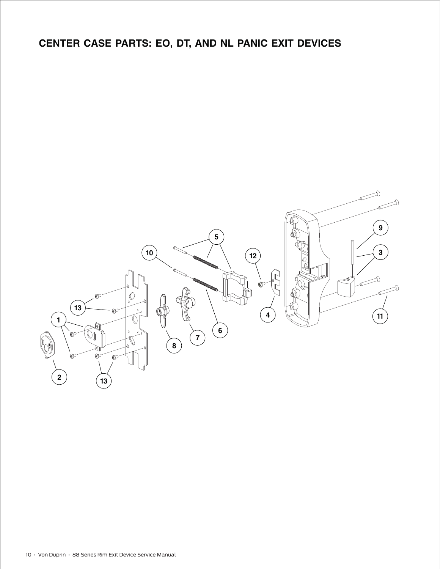## **CENTER CASE PARTS: EO, DT, AND NL PANIC EXIT DEVICES**

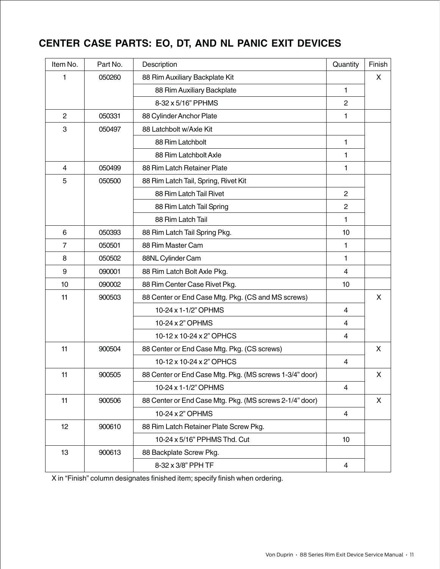### **CENTER CASE PARTS: EO, DT, AND NL PANIC EXIT DEVICES**

| Item No.       | Part No. | Description                                             | Quantity       | Finish |
|----------------|----------|---------------------------------------------------------|----------------|--------|
| 1              | 050260   | 88 Rim Auxiliary Backplate Kit                          |                | X      |
|                |          | 88 Rim Auxiliary Backplate                              | 1              |        |
|                |          | 8-32 x 5/16" PPHMS                                      | $\overline{2}$ |        |
| $\overline{2}$ | 050331   | 88 Cylinder Anchor Plate                                | 1              |        |
| 3              | 050497   | 88 Latchbolt w/Axle Kit                                 |                |        |
|                |          | 88 Rim Latchbolt                                        | 1              |        |
|                |          | 88 Rim Latchbolt Axle                                   | 1              |        |
| $\overline{4}$ | 050499   | 88 Rim Latch Retainer Plate                             | 1              |        |
| 5              | 050500   | 88 Rim Latch Tail, Spring, Rivet Kit                    |                |        |
|                |          | 88 Rim Latch Tail Rivet                                 | $\overline{2}$ |        |
|                |          | 88 Rim Latch Tail Spring                                | $\overline{2}$ |        |
|                |          | 88 Rim Latch Tail                                       | 1              |        |
| 6              | 050393   | 88 Rim Latch Tail Spring Pkg.                           | 10             |        |
| $\overline{7}$ | 050501   | 88 Rim Master Cam                                       | 1              |        |
| 8              | 050502   | 88NL Cylinder Cam                                       | 1              |        |
| 9              | 090001   | 88 Rim Latch Bolt Axle Pkg.                             | $\overline{4}$ |        |
| 10             | 090002   | 88 Rim Center Case Rivet Pkg.                           | 10             |        |
| 11             | 900503   | 88 Center or End Case Mtg. Pkg. (CS and MS screws)      |                | X      |
|                |          | 10-24 x 1-1/2" OPHMS                                    | $\overline{4}$ |        |
|                |          | 10-24 x 2" OPHMS                                        | $\overline{4}$ |        |
|                |          | 10-12 x 10-24 x 2" OPHCS                                | $\overline{4}$ |        |
| 11             | 900504   | 88 Center or End Case Mtg. Pkg. (CS screws)             |                | X      |
|                |          | 10-12 x 10-24 x 2" OPHCS                                | $\overline{4}$ |        |
| 11             | 900505   | 88 Center or End Case Mtg. Pkg. (MS screws 1-3/4" door) |                | X      |
|                |          | 10-24 x 1-1/2" OPHMS                                    | $\overline{4}$ |        |
| 11             | 900506   | 88 Center or End Case Mtg. Pkg. (MS screws 2-1/4" door) |                | X      |
|                |          | 10-24 x 2" OPHMS                                        | $\overline{4}$ |        |
| 12             | 900610   | 88 Rim Latch Retainer Plate Screw Pkg.                  |                |        |
|                |          | 10-24 x 5/16" PPHMS Thd. Cut                            | 10             |        |
| 13             | 900613   | 88 Backplate Screw Pkg.                                 |                |        |
|                |          | 8-32 x 3/8" PPH TF                                      | 4              |        |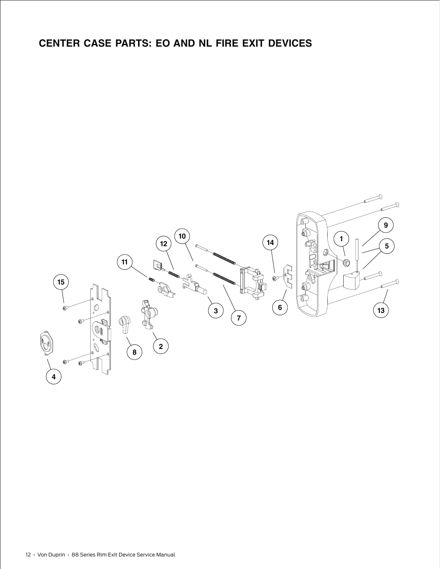### **CENTER CASE PARTS: EO AND NL FIRE EXIT DEVICES**

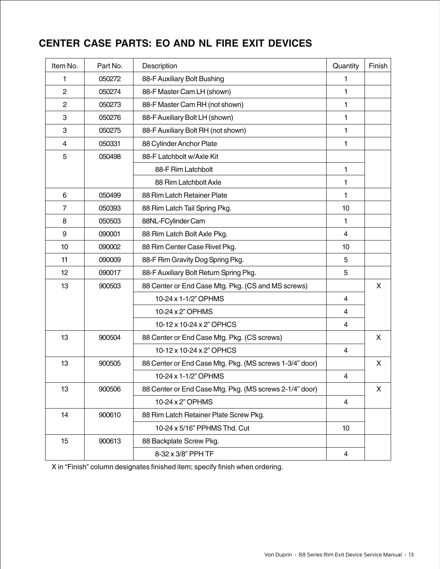### **CENTER CASE PARTS: EO AND NL FIRE EXIT DEVICES**

| Item No.       | Part No. | Description                                             | Quantity                | Finish |
|----------------|----------|---------------------------------------------------------|-------------------------|--------|
| 1              | 050272   | 88-F Auxiliary Bolt Bushing                             | 1                       |        |
| $\overline{2}$ | 050274   | 88-F Master Cam LH (shown)                              | 1                       |        |
| $\overline{2}$ | 050273   | 88-F Master Cam RH (not shown)                          | 1                       |        |
| 3              | 050276   | 88-F Auxiliary Bolt LH (shown)                          | 1                       |        |
| 3              | 050275   | 88-F Auxiliary Bolt RH (not shown)                      | 1                       |        |
| $\overline{4}$ | 050331   | 88 Cylinder Anchor Plate                                | 1                       |        |
| 5              | 050498   | 88-F Latchbolt w/Axle Kit                               |                         |        |
|                |          | 88-F Rim Latchbolt                                      | 1                       |        |
|                |          | 88 Rim Latchbolt Axle                                   | 1                       |        |
| 6              | 050499   | 88 Rim Latch Retainer Plate                             | 1                       |        |
| $\overline{7}$ | 050393   | 88 Rim Latch Tail Spring Pkg.                           | 10                      |        |
| 8              | 050503   | 88NL-FCylinder Cam                                      | 1                       |        |
| 9              | 090001   | 88 Rim Latch Bolt Axle Pkg.                             | $\overline{4}$          |        |
| 10             | 090002   | 88 Rim Center Case Rivet Pkg.                           | 10                      |        |
| 11             | 090009   | 88-F Rim Gravity Dog Spring Pkg.                        | 5                       |        |
| 12             | 090017   | 88-F Auxiliary Bolt Return Spring Pkg.                  | 5                       |        |
| 13             | 900503   | 88 Center or End Case Mtg. Pkg. (CS and MS screws)      |                         | X      |
|                |          | 10-24 x 1-1/2" OPHMS                                    | $\overline{4}$          |        |
|                |          | 10-24 x 2" OPHMS                                        | $\overline{4}$          |        |
|                |          | 10-12 x 10-24 x 2" OPHCS                                | $\overline{4}$          |        |
| 13             | 900504   | 88 Center or End Case Mtg. Pkg. (CS screws)             |                         | X      |
|                |          | 10-12 x 10-24 x 2" OPHCS                                | $\overline{4}$          |        |
| 13             | 900505   | 88 Center or End Case Mtg. Pkg. (MS screws 1-3/4" door) |                         | X      |
|                |          | 10-24 x 1-1/2" OPHMS                                    | $\overline{\mathbf{4}}$ |        |
| 13             | 900506   | 88 Center or End Case Mtg. Pkg. (MS screws 2-1/4" door) |                         | X      |
|                |          | 10-24 x 2" OPHMS                                        | $\overline{4}$          |        |
| 14             | 900610   | 88 Rim Latch Retainer Plate Screw Pkg.                  |                         |        |
|                |          | 10-24 x 5/16" PPHMS Thd. Cut                            | 10 <sup>1</sup>         |        |
| 15             | 900613   | 88 Backplate Screw Pkg.                                 |                         |        |
|                |          | 8-32 x 3/8" PPH TF                                      | $\overline{4}$          |        |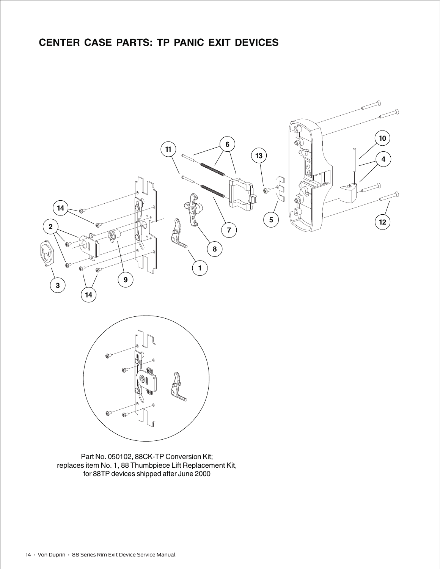

Part No. 050102, 88CK-TP Conversion Kit; replaces item No. 1, 88 Thumbpiece Lift Replacement Kit, for 88TP devices shipped after June 2000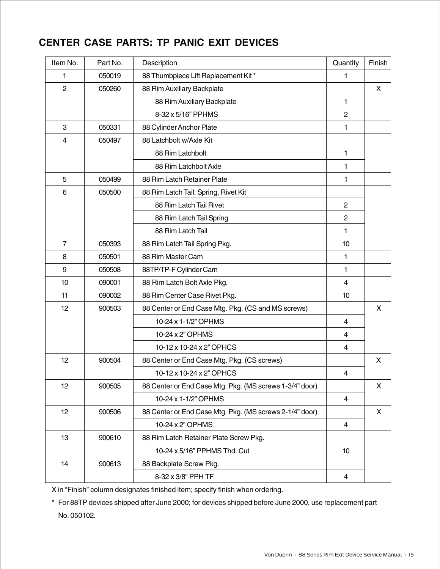### **CENTER CASE PARTS: TP PANIC EXIT DEVICES**

| Item No.       | Part No. | Description                                             | Quantity                | Finish |
|----------------|----------|---------------------------------------------------------|-------------------------|--------|
| 1              | 050019   | 88 Thumbpiece Lift Replacement Kit*                     | 1                       |        |
| $\overline{c}$ | 050260   | 88 Rim Auxiliary Backplate                              |                         | X      |
|                |          | 88 Rim Auxiliary Backplate                              | 1                       |        |
|                |          | 8-32 x 5/16" PPHMS                                      | $\overline{c}$          |        |
| 3              | 050331   | 88 Cylinder Anchor Plate                                | 1                       |        |
| $\overline{4}$ | 050497   | 88 Latchbolt w/Axle Kit                                 |                         |        |
|                |          | 88 Rim Latchbolt                                        | 1                       |        |
|                |          | 88 Rim Latchbolt Axle                                   | 1                       |        |
| 5              | 050499   | 88 Rim Latch Retainer Plate                             | 1                       |        |
| 6              | 050500   | 88 Rim Latch Tail, Spring, Rivet Kit                    |                         |        |
|                |          | 88 Rim Latch Tail Rivet                                 | $\overline{2}$          |        |
|                |          | 88 Rim Latch Tail Spring                                | $\overline{c}$          |        |
|                |          | 88 Rim Latch Tail                                       | 1                       |        |
| $\overline{7}$ | 050393   | 88 Rim Latch Tail Spring Pkg.                           | 10                      |        |
| 8              | 050501   | 88 Rim Master Cam                                       | 1                       |        |
| 9              | 050508   | 88TP/TP-F Cylinder Cam                                  | 1                       |        |
| 10             | 090001   | 88 Rim Latch Bolt Axle Pkg.                             | $\overline{4}$          |        |
| 11             | 090002   | 88 Rim Center Case Rivet Pkg.                           | 10                      |        |
| 12             | 900503   | 88 Center or End Case Mtg. Pkg. (CS and MS screws)      |                         | X      |
|                |          | 10-24 x 1-1/2" OPHMS                                    | 4                       |        |
|                |          | 10-24 x 2" OPHMS                                        | $\overline{4}$          |        |
|                |          | 10-12 x 10-24 x 2" OPHCS                                | 4                       |        |
| 12             | 900504   | 88 Center or End Case Mtg. Pkg. (CS screws)             |                         | X      |
|                |          | 10-12 x 10-24 x 2" OPHCS                                | $\overline{\mathbf{4}}$ |        |
| 12             | 900505   | 88 Center or End Case Mtg. Pkg. (MS screws 1-3/4" door) |                         | X      |
|                |          | 10-24 x 1-1/2" OPHMS                                    | $\overline{4}$          |        |
| 12             | 900506   | 88 Center or End Case Mtg. Pkg. (MS screws 2-1/4" door) |                         | X      |
|                |          | 10-24 x 2" OPHMS                                        | $\overline{4}$          |        |
| 13             | 900610   | 88 Rim Latch Retainer Plate Screw Pkg.                  |                         |        |
|                |          | 10-24 x 5/16" PPHMS Thd. Cut                            | 10 <sup>1</sup>         |        |
| 14             | 900613   | 88 Backplate Screw Pkg.                                 |                         |        |
|                |          | 8-32 x 3/8" PPH TF                                      | 4                       |        |

X in "Finish" column designates finished item; specify finish when ordering.

\* For 88TP devices shipped after June 2000; for devices shipped before June 2000, use replacement part No. 050102.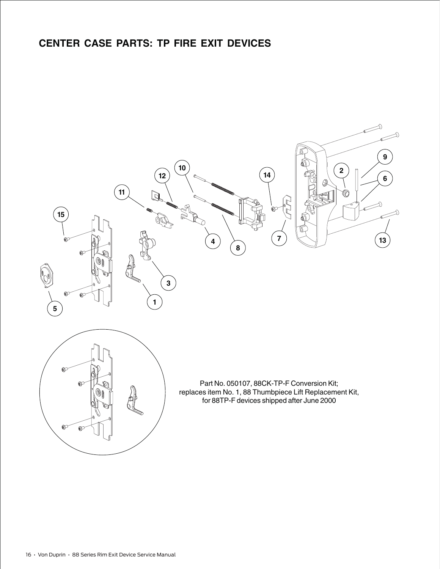### **CENTER CASE PARTS: TP FIRE EXIT DEVICES**

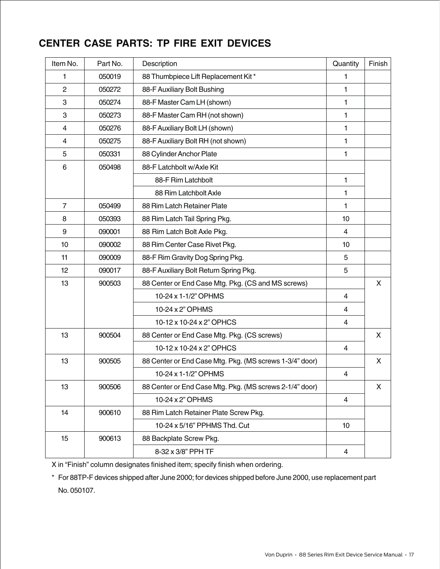### **CENTER CASE PARTS: TP FIRE EXIT DEVICES**

| Item No.       | Part No. | Description                                             | Quantity                 | Finish |
|----------------|----------|---------------------------------------------------------|--------------------------|--------|
| 1              | 050019   | 88 Thumbpiece Lift Replacement Kit*                     | 1                        |        |
| $\overline{2}$ | 050272   | 88-F Auxiliary Bolt Bushing                             | 1                        |        |
| 3              | 050274   | 88-F Master Cam LH (shown)                              | 1                        |        |
| 3              | 050273   | 88-F Master Cam RH (not shown)                          | 1                        |        |
| 4              | 050276   | 88-F Auxiliary Bolt LH (shown)                          | 1                        |        |
| 4              | 050275   | 88-F Auxiliary Bolt RH (not shown)                      | 1                        |        |
| 5              | 050331   | 88 Cylinder Anchor Plate                                | 1                        |        |
| 6              | 050498   | 88-F Latchbolt w/Axle Kit                               |                          |        |
|                |          | 88-F Rim Latchbolt                                      | 1                        |        |
|                |          | 88 Rim Latchbolt Axle                                   | 1                        |        |
| $\overline{7}$ | 050499   | 88 Rim Latch Retainer Plate                             | 1                        |        |
| 8              | 050393   | 88 Rim Latch Tail Spring Pkg.                           | 10                       |        |
| 9              | 090001   | 88 Rim Latch Bolt Axle Pkg.                             | $\overline{4}$           |        |
| 10             | 090002   | 88 Rim Center Case Rivet Pkg.                           | 10                       |        |
| 11             | 090009   | 88-F Rim Gravity Dog Spring Pkg.                        | 5                        |        |
| 12             | 090017   | 88-F Auxiliary Bolt Return Spring Pkg.                  | 5                        |        |
| 13             | 900503   | 88 Center or End Case Mtg. Pkg. (CS and MS screws)      |                          | X      |
|                |          | 10-24 x 1-1/2" OPHMS                                    | 4                        |        |
|                |          | 10-24 x 2" OPHMS                                        | $\overline{4}$           |        |
|                |          | 10-12 x 10-24 x 2" OPHCS                                | 4                        |        |
| 13             | 900504   | 88 Center or End Case Mtg. Pkg. (CS screws)             |                          | X      |
|                |          | 10-12 x 10-24 x 2" OPHCS                                | $\overline{4}$           |        |
| 13             | 900505   | 88 Center or End Case Mtg. Pkg. (MS screws 1-3/4" door) |                          | X      |
|                |          | 10-24 x 1-1/2" OPHMS                                    | $\overline{\mathcal{L}}$ |        |
| 13             | 900506   | 88 Center or End Case Mtg. Pkg. (MS screws 2-1/4" door) |                          | X      |
|                |          | 10-24 x 2" OPHMS                                        | $\overline{4}$           |        |
| 14             | 900610   | 88 Rim Latch Retainer Plate Screw Pkg.                  |                          |        |
|                |          | 10-24 x 5/16" PPHMS Thd. Cut                            | 10                       |        |
| 15             | 900613   | 88 Backplate Screw Pkg.                                 |                          |        |
|                |          | 8-32 x 3/8" PPH TF                                      | $\overline{\mathbf{4}}$  |        |

X in "Finish" column designates finished item; specify finish when ordering.

\* For 88TP-F devices shipped after June 2000; for devices shipped before June 2000, use replacement part No. 050107.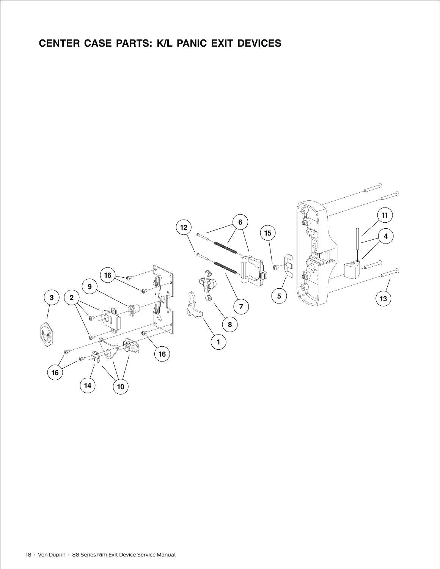### **CENTER CASE PARTS: K/L PANIC EXIT DEVICES**

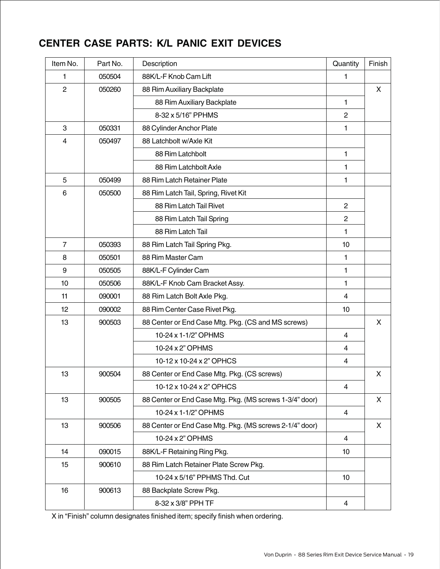### **CENTER CASE PARTS: K/L PANIC EXIT DEVICES**

| Item No.       | Part No. | Description                                             | Quantity        | Finish |
|----------------|----------|---------------------------------------------------------|-----------------|--------|
| 1              | 050504   | 88K/L-F Knob Cam Lift                                   | 1               |        |
| $\overline{2}$ | 050260   | 88 Rim Auxiliary Backplate                              |                 | X      |
|                |          | 88 Rim Auxiliary Backplate                              | 1               |        |
|                |          | 8-32 x 5/16" PPHMS                                      | $\overline{2}$  |        |
| 3              | 050331   | 88 Cylinder Anchor Plate                                | 1               |        |
| 4              | 050497   | 88 Latchbolt w/Axle Kit                                 |                 |        |
|                |          | 88 Rim Latchbolt                                        | 1               |        |
|                |          | 88 Rim Latchbolt Axle                                   | 1               |        |
| 5              | 050499   | 88 Rim Latch Retainer Plate                             | 1               |        |
| 6              | 050500   | 88 Rim Latch Tail, Spring, Rivet Kit                    |                 |        |
|                |          | 88 Rim Latch Tail Rivet                                 | $\mathbf{2}$    |        |
|                |          | 88 Rim Latch Tail Spring                                | 2               |        |
|                |          | 88 Rim Latch Tail                                       | 1               |        |
| $\overline{7}$ | 050393   | 88 Rim Latch Tail Spring Pkg.                           | 10              |        |
| 8              | 050501   | 88 Rim Master Cam                                       | 1               |        |
| 9              | 050505   | 88K/L-F Cylinder Cam                                    | 1               |        |
| 10             | 050506   | 88K/L-F Knob Cam Bracket Assy.                          | 1               |        |
| 11             | 090001   | 88 Rim Latch Bolt Axle Pkg.                             | 4               |        |
| 12             | 090002   | 88 Rim Center Case Rivet Pkg.                           | 10              |        |
| 13             | 900503   | 88 Center or End Case Mtg. Pkg. (CS and MS screws)      |                 | X      |
|                |          | 10-24 x 1-1/2" OPHMS                                    | $\overline{4}$  |        |
|                |          | 10-24 x 2" OPHMS                                        | 4               |        |
|                |          | 10-12 x 10-24 x 2" OPHCS                                | 4               |        |
| 13             | 900504   | 88 Center or End Case Mtg. Pkg. (CS screws)             |                 | X      |
|                |          | 10-12 x 10-24 x 2" OPHCS                                | 4               |        |
| 13             | 900505   | 88 Center or End Case Mtg. Pkg. (MS screws 1-3/4" door) |                 | X      |
|                |          | 10-24 x 1-1/2" OPHMS                                    | 4               |        |
| 13             | 900506   | 88 Center or End Case Mtg. Pkg. (MS screws 2-1/4" door) |                 | X      |
|                |          | 10-24 x 2" OPHMS                                        | 4               |        |
| 14             | 090015   | 88K/L-F Retaining Ring Pkg.                             | 10 <sup>°</sup> |        |
| 15             | 900610   | 88 Rim Latch Retainer Plate Screw Pkg.                  |                 |        |
|                |          | 10-24 x 5/16" PPHMS Thd. Cut                            | 10 <sup>1</sup> |        |
| 16             | 900613   | 88 Backplate Screw Pkg.                                 |                 |        |
|                |          | 8-32 x 3/8" PPH TF                                      | 4               |        |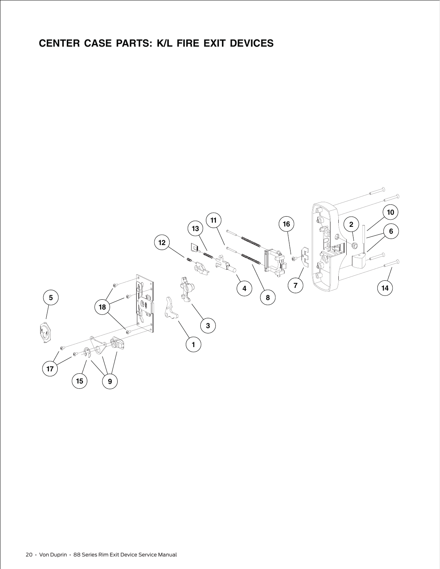### **CENTER CASE PARTS: K/L FIRE EXIT DEVICES**

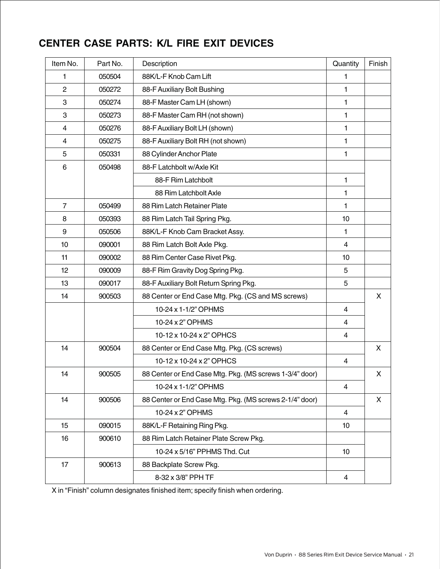### **CENTER CASE PARTS: K/L FIRE EXIT DEVICES**

| Item No.       | Part No. | Description                                             | Quantity       | Finish |
|----------------|----------|---------------------------------------------------------|----------------|--------|
| 1              | 050504   | 88K/L-F Knob Cam Lift                                   | 1              |        |
| $\overline{2}$ | 050272   | 88-F Auxiliary Bolt Bushing                             | 1              |        |
| 3              | 050274   | 88-F Master Cam LH (shown)                              | 1              |        |
| 3              | 050273   | 88-F Master Cam RH (not shown)                          | 1              |        |
| 4              | 050276   | 88-F Auxiliary Bolt LH (shown)                          | 1              |        |
| 4              | 050275   | 88-F Auxiliary Bolt RH (not shown)                      | 1              |        |
| 5              | 050331   | 88 Cylinder Anchor Plate                                | 1              |        |
| 6              | 050498   | 88-F Latchbolt w/Axle Kit                               |                |        |
|                |          | 88-F Rim Latchbolt                                      | 1              |        |
|                |          | 88 Rim Latchbolt Axle                                   | 1              |        |
| $\overline{7}$ | 050499   | 88 Rim Latch Retainer Plate                             | 1              |        |
| 8              | 050393   | 88 Rim Latch Tail Spring Pkg.                           | 10             |        |
| 9              | 050506   | 88K/L-F Knob Cam Bracket Assy.                          | 1              |        |
| 10             | 090001   | 88 Rim Latch Bolt Axle Pkg.                             | 4              |        |
| 11             | 090002   | 88 Rim Center Case Rivet Pkg.                           | 10             |        |
| 12             | 090009   | 88-F Rim Gravity Dog Spring Pkg.                        | 5              |        |
| 13             | 090017   | 88-F Auxiliary Bolt Return Spring Pkg.                  | 5              |        |
| 14             | 900503   | 88 Center or End Case Mtg. Pkg. (CS and MS screws)      |                | X      |
|                |          | 10-24 x 1-1/2" OPHMS                                    | $\overline{4}$ |        |
|                |          | 10-24 x 2" OPHMS                                        | 4              |        |
|                |          | 10-12 x 10-24 x 2" OPHCS                                | $\overline{4}$ |        |
| 14             | 900504   | 88 Center or End Case Mtg. Pkg. (CS screws)             |                | X      |
|                |          | 10-12 x 10-24 x 2" OPHCS                                | $\overline{4}$ |        |
| 14             | 900505   | 88 Center or End Case Mtg. Pkg. (MS screws 1-3/4" door) |                | X      |
|                |          | 10-24 x 1-1/2" OPHMS                                    | 4              |        |
| 14             | 900506   | 88 Center or End Case Mtg. Pkg. (MS screws 2-1/4" door) |                | X      |
|                |          | 10-24 x 2" OPHMS                                        | $\overline{4}$ |        |
| 15             | 090015   | 88K/L-F Retaining Ring Pkg.                             | 10             |        |
| 16             | 900610   | 88 Rim Latch Retainer Plate Screw Pkg.                  |                |        |
|                |          | 10-24 x 5/16" PPHMS Thd. Cut                            | 10             |        |
| 17             | 900613   | 88 Backplate Screw Pkg.                                 |                |        |
|                |          | 8-32 x 3/8" PPH TF                                      | 4              |        |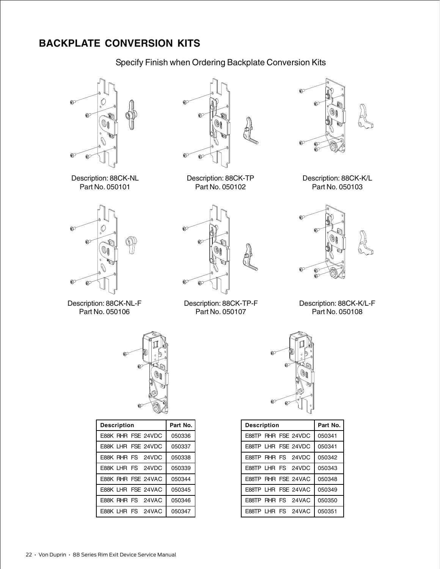### **BACKPLATE CONVERSION KITS**

Specify Finish when Ordering Backplate Conversion Kits



Description: 88CK-NL Part No. 050101



Description: 88CK-TP Part No. 050102



Description: 88CK-K/L Part No. 050103



Description: 88CK-NL-F Part No. 050106



Description: 88CK-TP-F Part No. 050107



Description: 88CK-K/L-F Part No. 050108



| <b>Description</b> | Part No. |
|--------------------|----------|
| E88K RHR FSE 24VDC | 050336   |
| E88K LHR FSE 24VDC | 050337   |
| E88K RHR FS 24VDC  | 050338   |
| E88K LHR FS 24VDC  | 050339   |
| E88K RHR FSE 24VAC | 050344   |
| E88K LHR FSE 24VAC | 050345   |
| E88K RHR FS 24VAC  | 050346   |
| E88K LHR FS 24VAC  | 050347   |



| <b>Description</b> |  |  |                     | Part No. |
|--------------------|--|--|---------------------|----------|
|                    |  |  | E88TP RHR FSE 24VDC | 050341   |
|                    |  |  | E88TP LHR FSE 24VDC | 050341   |
|                    |  |  | E88TP RHR FS 24VDC  | 050342   |
|                    |  |  | E88TP LHR FS 24VDC  | 050343   |
|                    |  |  | E88TP RHR FSE 24VAC | 050348   |
|                    |  |  | E88TP LHR FSE 24VAC | 050349   |
|                    |  |  | E88TP RHR FS 24VAC  | 050350   |
|                    |  |  | E88TP LHR FS 24VAC  | 050351   |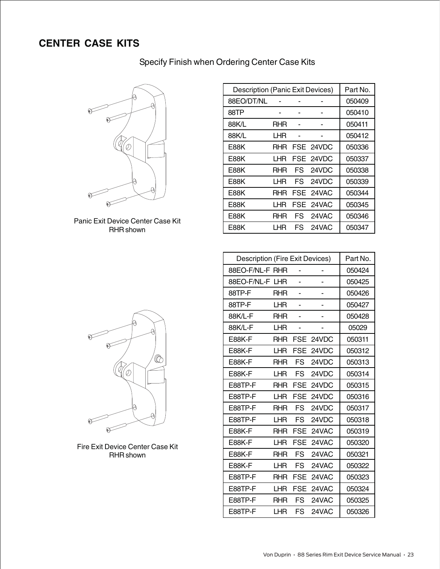### **CENTER CASE KITS**

#### Specify Finish when Ordering Center Case Kits



Panic Exit Device Center Case Kit RHR shown

| <b>Description (Panic Exit Devices)</b> |      |    |           | Part No. |
|-----------------------------------------|------|----|-----------|----------|
| 88EO/DT/NL                              |      |    |           | 050409   |
| 88TP                                    |      |    |           | 050410   |
| 88K/L                                   | RHR  |    |           | 050411   |
| 88K/L                                   | LHR  |    |           | 050412   |
| E88K                                    | RHR  |    | FSE 24VDC | 050336   |
| E88K                                    | LHR  |    | FSE 24VDC | 050337   |
| E88K                                    | RHR  | FS | 24VDC     | 050338   |
| E88K                                    | LHR  | FS | 24VDC     | 050339   |
| E88K                                    | RHR  |    | FSE 24VAC | 050344   |
| E88K                                    | l HR |    | FSE 24VAC | 050345   |
| E88K                                    | RHR  | FS | 24VAC     | 050346   |
| E88K                                    | LHR  |    | FS 24VAC  | 050347   |

| Description (Fire Exit Devices) |            |            |       | Part No. |
|---------------------------------|------------|------------|-------|----------|
| 88EO-F/NL-F RHR                 |            |            |       | 050424   |
| 88EO-F/NL-F LHR                 |            |            |       | 050425   |
| 88TP-F                          | <b>RHR</b> |            |       | 050426   |
| 88TP-F                          | LHR        |            |       | 050427   |
| 88K/L-F                         | <b>RHR</b> |            |       | 050428   |
| 88K/L-F                         | LHR        |            |       | 05029    |
| <b>E88K-F</b>                   | <b>RHR</b> | <b>FSE</b> | 24VDC | 050311   |
| <b>E88K-F</b>                   | LHR        | FSE        | 24VDC | 050312   |
| E88K-F                          | <b>RHR</b> | FS         | 24VDC | 050313   |
| <b>E88K-F</b>                   | LHR        | <b>FS</b>  | 24VDC | 050314   |
| E88TP-F                         | <b>RHR</b> | <b>FSE</b> | 24VDC | 050315   |
| E88TP-F                         | LHR        | <b>FSE</b> | 24VDC | 050316   |
| E88TP-F                         | <b>RHR</b> | FS         | 24VDC | 050317   |
| E88TP-F                         | LHR        | FS         | 24VDC | 050318   |
| <b>E88K-F</b>                   | <b>RHR</b> | FSE        | 24VAC | 050319   |
| <b>E88K-F</b>                   | LHR        | FSE        | 24VAC | 050320   |
| E88K-F                          | RHR        | FS         | 24VAC | 050321   |
| <b>E88K-F</b>                   | LHR        | FS.        | 24VAC | 050322   |
| E88TP-F                         | <b>RHR</b> | <b>FSE</b> | 24VAC | 050323   |
| E88TP-F                         | LHR        | <b>FSE</b> | 24VAC | 050324   |
| E88TP-F                         | <b>RHR</b> | FS         | 24VAC | 050325   |
| E88TP-F                         | LHR        | FS         | 24VAC | 050326   |



Fire Exit Device Center Case Kit RHR shown